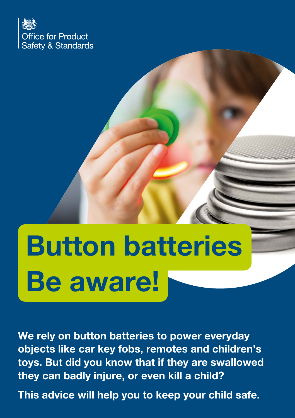

# Button batteries Be aware!

We rely on button batteries to power everyday objects like car key fobs, remotes and children's toys. But did you know that if they are swallowed they can badly injure, or even kill a child?

This advice will help you to keep your child safe.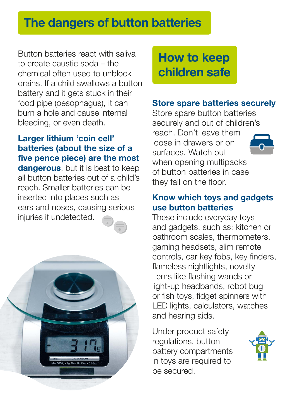# The dangers of button batteries

Button batteries react with saliva to create caustic soda – the chemical often used to unblock drains. If a child swallows a button battery and it gets stuck in their food pipe (oesophagus), it can burn a hole and cause internal bleeding, or even death.

# Larger lithium 'coin cell' batteries (about the size of a five pence piece) are the most

dangerous, but it is best to keep all button batteries out of a child's reach. Smaller batteries can be inserted into places such as ears and noses, causing serious injuries if undetected.



How to keep children safe

#### Store spare batteries securely

Store spare button batteries securely and out of children's reach. Don't leave them loose in drawers or on surfaces. Watch out when opening multipacks of button batteries in case they fall on the floor.

#### Know which toys and gadgets use button batteries

These include everyday toys and gadgets, such as: kitchen or bathroom scales, thermometers, gaming headsets, slim remote controls, car key fobs, key finders, flameless nightlights, novelty items like flashing wands or light-up headbands, robot bug or fish toys, fidget spinners with LED lights, calculators, watches and hearing aids.

Under product safety regulations, button battery compartments in toys are required to be secured.

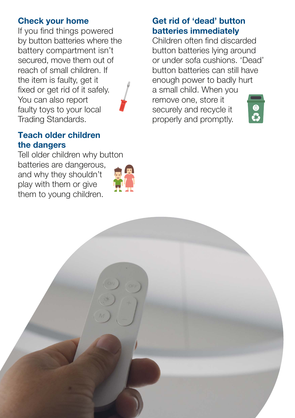#### Check your home

If you find things powered by button batteries where the battery compartment isn't secured, move them out of reach of small children. If the item is faulty, get it fixed or get rid of it safely. You can also report faulty toys to your local Trading Standards.



#### Teach older children the dangers

Tell older children why button batteries are dangerous, and why they shouldn't play with them or give them to young children.



#### Get rid of 'dead' button batteries immediately

Children often find discarded button batteries lying around or under sofa cushions. 'Dead' button batteries can still have enough power to badly hurt a small child. When you remove one, store it securely and recycle it properly and promptly.